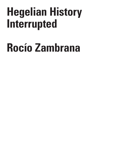## **Hegelian History Interrupted**

# **Rocío Zambrana**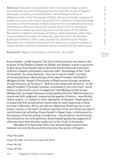**Abstract**: Decades of scholarship within and beyond Hegel studies have detailed not only the Eurocentrism but also the racism of Hegel's philosophy of history. In what follows, I revisit Hegel's notion of *Weltgeschichte* in the *Philosophy of Right*, taking the broader category of modernity as point of critical exposition. The variations of right that Hegel examines in the *Philosophy of Right* comprise the normative/institutional infrastructure that articulates the modern itself. I aim to recalibrate the critique of Hegel by exploring once more the place of the Haitian Revolution in Hegel's philosophy of history. Haiti dislocates rather than consummates the project of modernity. Jean Casimir's *The Haitians: A Decolonial History* offers new grounds for considering the Haitian Revolution as a refusal of the project of modernity, a project founded on chattel slavery, one that installed a settler colonial and anti-black world.

**Keywords**: Hegel, world history, colonialism, race, Haiti

Know thyself – *γνῶθι σεαυτόν*. The first of three maxims inscribed in the pronaos of the Temple of Apollo at Delphi, the Delphic oracle's injunction to Socrates, know thyself was to drive the world-historical movement of *Geist* in Hegel's philosophy centuries later.1 Knowledge of the "truth of humanity" or, more precisely, "the true in and for itself," is a feat of the actualization (*Verwicklung*) of the idea of freedom (*Frieheit*) in Weltgeschichte.<sup>2</sup> Hegel's Philosophy of Right moves through variations of right that give, as he puts it, "determinate shape and existence" to the idea of freedom.3 The book, however, culminates in the claim that "world history is the world's court of judgement" (*die Weltgeschichte ist das Weltgericht*), as Hegel famously writes quoting Schiller.4 World history is concerned with judgment, measuring the agents of history – specifically, nation-states – in relation to their realization of freedom. Hegel goes on to argue that this actualization travels east to west, beginning in Asia, arriving in Germany. Africa, as well as indigenous Americas, as is well known, remain in the realm of nature, posited as the non-historical past of world-historical unfolding. Know thyself in Hegel, then, is tantamount to the memory of the becoming of modernity – its normative commitments, its institutions, its contradictions. Know thyself guides the judgment of what has been that elevates modernity to the "truth of humanity."

Decades of scholarship within and beyond Hegel studies have detailed not only the Eurocentrism but also the racism of Hegel's

1 Hegel 1991, §343A.

2 Hegel 1991, §344n. The quote is from Hegel 1971, §377A.

3 Hegel 1991, §30.

4 Hegel 1991, §341.

R I T I  $\Omega$ U E / Volume 8

C R I S I S & C

Issue 2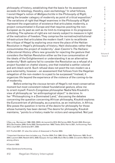philosophy of history, establishing that the basis for its assessment exceeds its teleology, theodicy, even eschatology.<sup>5</sup> In what follows, I revisit Hegel's notion of *Weltgeschichte* in the *Philosophy of Right*, taking the broader category of modernity as point of critical exposition.6 The variations of right that Hegel examines in the *Philosophy of Right* represent the organization of existence that articulates modernity, a project consummated in Europe and that requires positing the non-European as its past as well as its limit-to-transgress in its progressive unfolding. The spheres of right are not merely subject to measure in light of the realization of freedom. They comprise the normative/institutional infrastructure that articulates the modern itself. I aim to recalibrate the critique of Hegel by exploring once more the place of the Haitian Revolution in Hegel's philosophy of history. Haiti dislocates rather than consummates the project of modernity.7 Jean Casimir's *The Haitians: A Decolonial History* offers new grounds for rejecting the gesture that considers the Haitian Revolution either as the true consummation of the ideals of the Enlightenment or understanding it as an alternative modernity.8 Both options fail to consider the Revolution as a refusal of a project founded on chattel slavery, one that installed a settler colonial and anti-black world. Such refusal does not posit the non-modern as a pure externality, however – an assessment that follows from the Hegelian relegation of the non-modern to a past to be surpassed.<sup>9</sup> Instead, it organizes life beyond the experience of the violence of the coming-to-be of modernity.

Before entering the viscous terrain of Hegel's not most conservative moment but most consistent indeed foundational gesture, allow me to orient myself. French-Congolese philosopher Nadia Yala Kisukidi's view of philosophy as "an anthropological object" is decisive. In her "Philosophizing in a Dominated Land," discussing the debates concerning the question concerning African philosophy, Kisukidi explores the Eurocentrism of philosophy, as a practice, as an institution, in Africa. She poses the question in terms of the desire for philosophy for those whose humanity has been denied. The desire for philosophy, Kisukidi maintains, "points to a history made for victors and vanquished. Not just

8 Casimir 2020.

9 See Zambrana forthcoming.

R I S I S & C R I T I  $\Omega$ U E / Volume 8 Issue 2

<sup>5</sup> See, e.g., Bernasconi 1998, 2000, 2003); de Laurentiis 2014; McCarney 2003; Parekh 2003; Brennan 2013; Buchwalter 2009; Guha 2002; Serequeberhan 1989; Tibebu 2010; Harris 2021, forthcoming; Park 2013; Lloyd 2021; Zambrana 2017, 2020.

<sup>6</sup> Cf. Truillot 2021. Cf. also the notion of disavowal in Fischer 2004.

<sup>7</sup> Important literature here includes; e.g., Fischer 2004; Fick 1990; Gilroy 1995; Patterson 1985; Scott 2004; Laurent 2004; Nesbitt 2013, 2008; Vazquez-Arroyo 2008; Buck-Morss 2009; Ciccarello-Maher 2014, among others.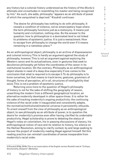any history but a colonial history understood as the history of the *Muntu's* attempts and vicissitudes in resembling his master and being recognized by him." As such, she adds, philosophy "appears as an attribute of power of which the vanquished is deprived." Kisukidi continues:

The desire for philosophy has nothing to do with philosophy. It reveals a condition of violence, not an emancipatory hope where the term philosophy functions just as a metonymy. It means just humanity and civilization, nothing else. So the answer to the question: how to philosophize in a dominated land is not linked to problems of epistemic justice. It is just a reenactment. How to escape from philosophy to change the world even if it means remaining in a nameless place.10

As an anthropological object, philosophy is an archive of dispossession and colonial mimicry. This is hardly an argument against the study of philosophy, however. This is not an argument against exploring the Western canon and its actualizations, even in gestures that seek to decolonize philosophy yet follow the coordinates of the canon in its institutional location. On the contrary. Philosophy as an anthropological object stands in need of a deep dive especially if one comes to the conclusion that what is required is to escape it. To do philosophy is to know ourselves, but that means to track terms, gestures, grammars of thought, forms of perception, all in all, structures of intelligibility that seize. This is not a problem of epistemic justice.

Returning once more to the question of Hegel's philosophy of history is not for the sake of shifting the geography of reason, unearthing the modern from a different geographical location, an alternative modernity developed in other space-times. It is rather for the sake of tracking modernity's ongoing productivity: the continuing violence of the racial order it inaugurated and consistently adapts, the normative/institutional/material universe it persistently refounds. To orient oneself from the view of philosophy as an anthropological object, to see philosophy as an attribute of power, is to question the desire for modernity's promise even after having clarified its undeniable productivity. Hegel scholarship is prone to debating the status of Hegel's notes on colonialism, his in-passing discussions of slavery, his anthropological notion of race and its relation to history, his silence on the Haitian Revolution, aiming to clarify context, by and large seeking to recover the project of modernity reading Hegel against himself. Yet this reading practice can reinstall coordinates of sense inseparable from modernity's racial order.

C R I S I S & C R

<sup>10</sup> Kisukidi 2019a, 2019b. This is my transcription of the English version Kisukidi read at "Critique, Decoloniality, Diaspora" (Berkeley).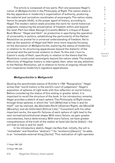The article is composed of two parts. Part one assesses Hegel's notion of *Weltgeschichte* in the *Philosophy of Right*. The nation-state is the key apparatus in modernity's organization of authority, producing the material and normative coordinates of sovereignty. The nation-state, hence its people (*Volk*), is the proper agent of history, according to Hegel. The modern nation-state provides the norm for world-historical judgment, measuring the actualization of freedom within and beyond the west. Part two takes George Ciccarello-Maher's critique of Susan Buck Morss' "Hegel and Haiti" as productive in specifying the operation of universality in politics, establishing the particularity of the Haitian Revolution as pivotal for a universal understanding of freedom. Yet to take up the question of Hegel and Haiti once more requires focusing on the discussion of *Weltgeschichte*, exploring the status of modernity in relation to its structuring apparatuses beyond the dialectic of the universal and the particular endemic to them. To this end, I turn to Casmir's study of Haiti, specifically in relation to the thesis that the Revolution constructed sovereignty beyond the nation-state. The analytic effectivity of Hegelian history is interrupted, then, when we pay attention to the Haitian Revolution, yet in relation to forms of ongoing refusal that turn inoperative modernity's signature apparatuses.

#### **Weltgeschichte is Weltgericht**

Quoting the penultimate stanza of Schiller's 1794 "Resignation," Hegel writes that "world history is the world's court of judgement." Hegel's exposition of spheres of right ends with this reflection on world history. Before considering the status of this ending in greater detail, it is important to recall the structure of the book. In his introductory remarks, Hegel provides a sketch of each sphere. The *Philosophy of Right* moves through three spheres in which the "will [*Wille*] that is free in and for itself" can be realized: *das Abstrakte Recht* (Abstract Right), *die Moralität* (Morality), and *die Sittlichkeit* (Ethical Life).11 Consistent with his other important works, the specific failures of each sphere of right lead to the next normative/institutional shape. With every failure, we gain greater concreteness, hence determinacy. With every failure, we have greater comprehension of the truth of the matter at hand (*die Sache Selbst*) – the will that is free in and for itself.

In his introductory sketch, Hegel clarifies that, initially, the will is "immediate" and therefore "abstract."12 Its "existence [*Dasein*]," he adds, is an "immediate external thing [*Sache*]." This realization of right operates

11 Hegel 1991, §33.

12 Hegel 1991, §33.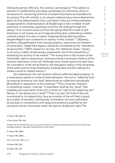linking the person (*Person*), the contract, and property.13 This sphere is abstract in insufficiently providing coordinates for interiority, which is necessary for conceiving of a form of subjectivity that is accountable for its actions. The will, initially in its utmost indeterminacy hence abstraction, gains its first determination thus concretion in the act of externalization as appropriation. Externalization (*Entaußerung*) is here a matter of selfextension in ownership, positing a world for the making through the taking.14 It is crucial to point out from the get go that this mode of selfextension is not merely an act of appropriating land, subtending a settler colonial project. It is also a matter of appropriating laboring bodies, despite Hegel's own comments on slavery in this context.<sup>15</sup> "[S] lavery, serfdom, disqualification from owning property, restrictions on freedom of ownership," Hegel here argues, should be considered as the "alienation of personality."16 With respect to, he says, the "Athenian slave," slavery is not only a matter of becoming a possession, but of the possibility of alienating his activity to his master.<sup>17</sup> The wrong here is the erosion of the inalienable right to possession, mineness being a necessary feature of the outward realization of the will. Although more would need to be said here, the conception of the will at hand is one that gains reality in the ownership of the earth *and* its living inhabitants, binding labor and the making of a modern world to chattel slavery.18

So understood, the will remains without sufficient determination. In a subsequent sphere or mode of externalization, the will is "reflected from its external existence *into itself*, determined as *subjective individuality*  [*Einzelheit*] in opposition to the *universal*."19 This universal, however, is something merely "internal." It manifests itself as the "good" that mediates the externality of the will in terms of "*right of the subjective will*." Hence, it "*has being* only *in itself*."20 That is to say: the truth of the will is anchored in its subjectivity, here as a matter of the will that is good, as a matter of morality. Individuality is therefore not only confronted by but also in contestation with objective existence qualified by the normative terrain discussed under the banner of abstract right. The

. . . . . . . . . . . . . . . . . 13 Hegel 1991, §§41-47.

14 See Hegel 1991, §44.

15 See Harris forthcoming, for an account of slavery in Hegel distinguished from the lordship and bondage dialectic. See also Tibebu 2010 and Stone 2017.

16 Hegel 1991, §66A.

17 Hegel 1991, §66A.

18 Cf. Hartman 1997, p. 21.

19 Hegel 1991, §33.

20 Hegel 1991, §33.

C R  $\mathbf{I}$ S I S & C R I T I Q U E / Volume 8 Issue 2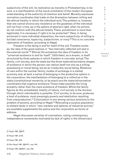subjectivity of the will, its realization as morality in Protestant key, to be sure, is a manifestation of the moral orientation of the modern European understanding of the authority of intention and belief. Morality expresses normative coordinates that trade on the diremption between willing and the ethical totality in which the individual acts. The problem is, however, that one cannot divorce any insistence on the goodness of the individual will not from crime, as in the sphere of abstract right, when its actions do not conform with the ethical totality. There, punishment is more than legitimate; it is necessary if right is to be protected.<sup>21</sup> Here, in being anchored in mere individual disposition, the mere subjectivity of willing is but bad conscience, hypocrisy, subjectivism, or irony.<sup>22</sup> This is no concrete realization of freedom, according to Hegel.

Freedom is the being in *and* for itself of the will. Freedom exists as, the idea of the good realizes in "the internally reflected will and in the external world."23 Ethical life actualizes the idea of freedom in its "universal existence in and for itself." *Sittlichkeit*, as is known, is itself structured by three spheres in which freedom is concrete, actual. The family, civil society, and the state are the three material/normative shapes of existence in which the person can realize itself not only as a willing possessing or moral being, but as an irreducibly social being. Relations of care within the nuclear family; modes of exchange in a market economy and, at best, a sense of belonging in the productive sphere in the corporation; the manifestation of belonging to a collective in the state (constitutional monarchy, to be exact) are the material/normative coordinates that organize existence. These make possible the living actuality rather than the mere existence of freedom. While the family figures as the unmediated, totality of nature, civil society is the division through which individuality is possible. Civil society, to be sure, produces a host of problems, most pressingly poverty and destitution resulting from overproduction.<sup>24</sup> Colonization is one among various solutions to the problem of poverty, according to Hegel.<sup>25</sup> Relocating a surplus population to distant lands in which "new markets and spheres of industrial activity" are available supplements the police and the corporation as forms of address.

Hegel discusses varieties of colonialism, noting contemporary independence movements motivated by lack of rights in the (American)

21 Hegel 1991, §§97ff. 22 Hegel 1991, §140. 23 Hegel 1991, §33. 24 See Hegel 1991, §§241ff., esp. 244. 25 Hegel 1991, §§246ff., esp. 248.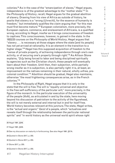colonies.26 As in the case of the "emancipation of slaves," Hegel argues, independence is of the greatest advantage to the "mother state."<sup>27</sup> In the *Philosophy of History*, recall, Hegel argues for the gradual abolition of slavery. Drawing from his view of Africa as outside of history, he posits that slavery is a "wrong (*Unrecht*), for the essence of humanity is freedom," but immediately qualifies the claim arguing that "for this man must first become mature."28 European colonialism, more precisely, the European capture, commerce, and enslavement of Africans, is a qualified wrong, according to Hegel, insofar as it brings consciousness of freedom to captives. This consciousness, however, is gained in the state. In the 1822/23 courses on the *Philosophy of World History*, Hegel argues that "slavery . . . is necessary at those stages where the state [and its people] has not yet arrived at rationality. It is an element in the transition to a higher stage."<sup>29</sup> Hegel ties this supposed acquisition of freedom to the "sense of private property, of achieving independence through one's own activity, or of securing one's property through right."<sup>30</sup> As Allison Stone explains, "[b]y being forced to labor and being disciplined spiritually by agencies such as the Christian church, these people will eventually learn about their freedom. Until then, their subjection, while partially wrong insofar as it is subjection, is also partially right: it is, at least, an improvement on the natives remaining in their natural, wholly unfree, precolonial condition."31 Abolition should be gradual, Hegel also maintains, otherwise "the most frightening consequences arise, as in the French colonies."32

In the *Philosophy of Right*, Hegel argues that it is only in the state that the will is free. The will is "equally universal and objective in the free self-sufficiency of the particular will," more precisely, in the figure of the monarch. In the particular execution of the universality of the people (*Volk*), as articulated in and by the state, here moving beyond his discussion of patriotism to the activity of the figurehead, the will is not merely external and internal but in and for itself free. World history becomes relevant at this juncture. The state, Hegel writes, is the "actual and organic" *Geist* of a people, which "actualizes and reveals itself through the relationship between the particular national spirits" and "in world history as the universal world spirit whose right

26 Hegel 1991, §248.

27 Hegel 1991, §248.

28 See my discussion on maturity in forthcoming. See also Hegel 1991, §57A.

29 Quoted in Stone 2017, p. 255.

- 30 Quoted in Stone 2017, p. 255.
- 31 Stone 2017, p. 255.
- 32 Quoted in Stone 2017, p. 255.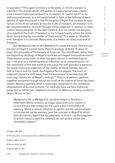is supreme."33 The agent of history is the state, in which a people is manifest. The actualization of freedom is measured between states from a world historical perspective in relation to "world spirit" in its self-comprehension. It is not established in light of the failures of each sphere of right discussed in the *Philosophy of Right*. The content of each failure of the three spheres drives the truth of freedom, yet freedom is to be comprehended in its truth through a final judgment in relation to other nation-states/peoples. In the last instance, it is not states but peoples who manifest the truth of freedom in its living actuality within the state. Such living actuality is a matter of "rationality." The state is "absolute end" because it is rational. Rationality is a matter of consciousness of freedom.

*Die Weltgeschichte ist das Weltgericht* closes the book. This mirrors the end of Hegel's central texts: *Phenomenology of Spirit*, *Science of Logic*, *Encyclopedia of Philosophical Sciences*. The end (*Ende*) rather than the beginning (*Anfang*) of Hegel's texts are privileged interpretive sites.34 They announce the truth of what has been shown in methodological key – not only as a metatheoretical reflection on or comprehension of the movement of the text itself. In this case, the end provides a measure for world-historical judgment on the matter at hand, namely, the will that is free in and for itself. As Angelica Nuzzo argues, the court of judgment signals a shift away from the movement of recollection (*Erinnerung*) distinctive of Hegel's endings.<sup>35</sup> Historical memory gathers together moments through which the truth of the matter at hand has been shown. Memory gathers what is seemingly dispersed in the immanent development of its own content.36 In contrast, here we face historical judgment or, better yet, judgment of history. In *Memory, History, Justice in Hegel*, Nuzzo writes:

*Weltgeschichte* is *Weltgericht*, declares Hegel in Schiller's aftermath. While memory no longer does justice to history, it is now history that measures the justice and truthfulness of memory. History, whose subjects or agents are the nation-states, is introduced not by memory (and the concept or *Begriff* to which ethical memory leads) but by judgment, or *Urteil* – by the judgment to which memory (and the concept) as well as the states are ultimately subject. <sup>37</sup>

34 On *das Ende*, see especially Nuzzo 1999 and Zambrana 2015.

35 Nuzzo 2012, chap. 4.

36 Nuzzo 2012, pp. 45ff.

37 Nuzzo 2012, p. 109.

R I S I S & C R I T I Q U E / Volume 8 Issue 2

<sup>33</sup> Hegel 1991, §33.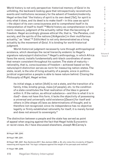World history is not only perspective: historical memory of *Geist* in its unfolding, the backward-looking gaze that retrospectively reconstructs events and institutions necessary for the advent of freedom/modernity. Hegel writes that "the history of spirit is its own deed [*Tat*], for spirit is only what it does, and its deed is to make itself – in this case as spirit – the object of its own consciousness and to comprehend itself in its interpretation of itself to itself."38 World history as comprehension is here norm: measure, judgment of the actuality rather than the becoming of freedom. Hegel accordingly glosses ethical life, that is, "the Penates, civil society, and the spirits of the nations [*Volkgeister*] in their multifarious actuality," as "ideal."39 *Sittlichkeit* is not only demonstrated as a living actuality by the movement of *Geist*. It is binding for world-historical judgment.

World-historical judgment necessarily runs through anthropological existence, which develops the racial hierarchy endemic to Hegel's signature nature/spirit distinction.<sup>40</sup> Hegel's anthropology, in which Africa fares the worst, installs fundamentally anti-black coordinates of sense that remain consistent throughout his system. The state of maturity – rationality, that is, consciousness of freedom – achieved based on the nature/spirit distinction serves as norm for measuring nation-states. The state, recall, is the site of living actuality of a people, since in politicojuridical organization a people is able to leave nature behind. Closing the *Philosophy of Right*, Hegel writes:

its initial stage, a nation [*Volk*] is not a state, and the transition of a family, tribe, kinship group, mass [of people], etc. to the condition of a state constitutes the final realization of the Idea in general within it. If the nation, as ethical substance – and this is what it is in *itself* – does not have this form, it lacks the objectivity of possessing a universal and universally valid existence [*Dasein*] for itself and others in [the shape of] laws as determinations of thought, and is therefore not recognized; since its independence has no objective legality or firmly established rationality for itself, it is merely formal and does not amount to sovereignty.<sup>41</sup>

The distinction between a people and the state has served as point of appeal when arguing against the fact that Hegel holds Eurocentric or racist views. As I have discussed elsewhere, Joseph McCarney's

38 Hegel 1991, §343.

39 Hegel 1991, §341.

40 Hegel 1991, §347. See Zambrana 2017. See Jackson 2020, p. 30, who notes the circularity of Hegel's reasoning and argues that "his logic collapses against the weight of his percepts and method."

41 Hegel 1991, §349.

I T I Q U E /

C R I S I S & C R

Volume 8 Issue 2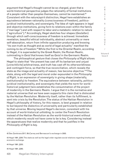argument that Hegel's thought cannot be so charged, given that a world-historical perspective judges the rationality of formal institutions of a people rather than peoples themselves, cannot be maintained. $42$ Consistent with the nature/spirit distinction, Hegel here establishes an equivalence between rationality (consciousness of freedom), politicojuridical institutionality, and sovereignty. The Idea of right appears in legal and objective institutions, giving form to relations even within the family ("marriage") and with respect to labor and a metabolic relation to nature ("agriculture").43 Accordingly, Hegel sketches four shapes (*Gestalten*) through which self-consciousness of freedom is achieved. Immediate revelation, beautiful ethical individuality, abstract universality or mere self-absorption, return from infinite opposition producing and knowing "its own truth as thought and as world of legal actuality" manifest the coming-to-be of freedom.44 While the first is the Oriental Realm, according to Hegel, it is superseded by the Greek Realm, the Roman Realm, culminating in *Geist* that knows itself as *Geist* in the Germanic Realm.

The philosophical gesture that closes the *Philosophy of Right* allows Hegel to state that "the present has cast off its barbarism and unjust [*unrechtliche*] arbitrariness, and truth has cast off its otherworldliness and contingent force, so that the true reconciliation, which reveals the state as the image and actuality of reason, has become objective."45 The state, along with the legal and moral order expounded in the *Philosophy of Right*, is an expression of sovereignty in giving shape (materially, institutionally) to freedom. The equivalence between rationality, politicojuridical institutionality, and sovereignty that yields the norm for worldhistorical judgment here establishes the consummation of the project of modernity in the Germanic Realm. I argue that it is the normative and material universe that we have seen supports this claim that is dislocated by the Haitian Revolution. Modernity itself, rather than its fulfillment, is sent into crisis by the Revolution. The status of the Haitian Revolution in Hegel's philosophy of history, for this reason, is best grasped in relation to but beyond the dialectics of universality and particularity established by that universe. Moving beyond Hegel's decision, consistent with his account of world-historical unfolding, to center the French Revolution instead of the Haitian Revolution as the world-historical event without which modernity would not have come to be is key. Considering instead the apparatuses that realize modernity and that he justifies in the *Philosophy of Right* is key.

42 See Zambrana 2017; McCarney and Bernasconi's exchange in 2003.

44 Hegel 1991, §353.

45 Hegel 1991, §360.

& C R I T I Q U E / Volume 8

C R I S I S

Issue 2

<sup>43</sup> Hegel 1991, §350. The state as well as the legal order regulate social relations regarding kinship and economic exchange.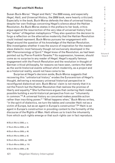#### **Hegel and Haiti Redux**

Susan Buck-Morss' "Hegel and Haiti," the 2000 essay, and especially *Hegel, Haiti, and Universal History*, the 2009 book, were heavily criticized. Especially in the book, Buck-Morss defends the idea of universal history, despite her own findings concerning Hegel's silence about the Haitian Revolution. As Buck-Morss states in the preface to her book, critics argue against the resurrection of the very idea of universal history from the "ashes" of Hegelian metaphysics.46 They also question the decision to forgo a reflection on the alternative modernity that the Haitian Revolution could instead represent. Buck-Morss pursues her engagement with Hegel around the question of his knowledge of the Haitian Revolution. She investigates whether it was the source of inspiration for the masterslave dialectic most famously though not exclusively developed in the 1807 *Phenomenology of Spirit*. 47 Hegel knew of the Revolution, as had been pointed out by Pierre-Franklin Tavarès.<sup>48</sup> Its suppression, however, should come as no surprise to any reader of Hegel. Hegel's equally famous engagement with the French Revolution and the revolution in thought of German critical philosophy, for reasons we have seen, centers the latter as the world-historical events without which modernity, as a project and as a historical reality, would not have come to be.

Surprise at Hegel's decision aside, Buck-Morss suggests that recovering this "unhistorical history" erodes the Eurocentrism of Hegel's thought, delivering a necessary universal historical perspective in reconfigured dialectical vein. Buck-Morss' claim is not merely that it is not the French but the Haitian Revolution that realizes the promise of liberty and equality.<sup>49</sup> She furthermore argues that centering Haiti makes possible building a world-historical perspective from our "inhumanity in common."50 A universal history so conceived makes possible action rather than inscribing power.<sup>51</sup> "What happens when," Buck-Morss writes, "in the spirit of dialectics, we turn the tables and consider Haiti not as a victim of Europe, but as an agent in Europe's construction"?52 Haiti is an agent in Europe's construction in providing content to the formality of the discourse of the Rights of Man. Haiti allows us to track the inhumanity from which such rights emerge or that such rights can in fact reproduce.

46 Buck-Morss 2009, p. ix. 47 Buck-Morss 2009, p. 48. 48 Buck-Morss 2009, p. 48. 49 Buck-Morss 2009, p. 42. 50 Buck-Morss 2009, pp. 138ff. 51 Buck-Morss 2009, p. 110. 52 Buck-Morss 2009, p. 80.

C R I S I S & C R I T I  $\Omega$  $\cup$ E / Volume 8 Issue 2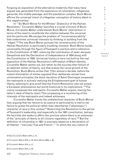Forgoing an exposition of the alternative modernity that many have argued was generated from the experience of colonialism, indigenous genocide, the middle passage, and the plantation complex, Buck-Morss affirms the universal intent of a Hegelian conception of history albeit in this negativist key.

In "'So Much Worse for the Whites': Dialectics of the Haitian Revolution," Ciccarello-Maher launches a crucial criticism of Buck-Morss. Ciccarello-Maher understands Buck-Morss' intervention in terms of the need to recalibrate the relation between the universal and the particular. We escape the problem of "incommensurability" that undermines universal interests by thinking or building from the "edges."53 The way Buck-Morss pursues her reconstruction of the Haitian Revolution is particularly troubling, however. Buck-Morss builds universality through the figure of Toussaint Loverture and in reference to the Constitution of 1801, silencing the contribution of Jean-Jacques Dessalines and the Declaration of Independence of 1804 along with the Constitution of 1805. Universal history is here not built by the real opposition of the Haitian Revolution's affirmation of Black identity, Ciccarello-Maher points out, but rather by the success then failure of an abstract notion of liberty, one that erases the racial ground of the Revolution. Buck-Morss writes that "[f]or almost a decade, before the violent elimination of whites signaled their deliberate retreat from universalist principles, the black Jacobins of Saint-Domingue surpassed the metropole in actively realizing the Enlightenment goal of human liberty, seeming to give proof that the French Revolution was not simply a European phenomenon but world-historical in its implications."54 The colony surpasses the metropolis, Ciccarello-Maher argues, leaving the latter's ideal of liberty intact. This surpassing is a recentering of the interests of the metropolis and indeed whiteness.

Ciccarello-Maher tracks the undialectical character of Buck-Morss' text, arguing that her failure to do justice to particularity is tied to her failure to grasp the political rather than identitarian ("phenotypic") character of race in this context.55 Restricting the Revolution to the period of Toussaint's leadership, and especially to the 1801 constitution, betrays the fact that she seeks to affirm the juncture where there is an extension of the "principle of liberty to all citizens regardless of race."<sup>56</sup> But the definition of citizenship in 1801 is precisely based on a declaration of all Haitian "'men [as] 'free and French'," "in which the very notion of

53 See Ciccarello-Maher 2014, p. 21.

................................

56 Ciccarello-Maher 2014, p. 94.

C R

<sup>54</sup> Ciccarello-Maher 2014, p. 22; Buck-Morss 2009, p. 39.

<sup>55</sup> Ciccarello-Maher 2014, p. 27.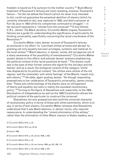freedom is bound as if by synonym to the mother country."57 Buck-Morss' treatment of Toussaint's failures are most revealing, however. Toussaint's failure – "he did not defeat the French (which he never truly intended to do), could not guarantee the perpetual abolition of slavery (which he certainly intended to do), was captured in 1802, and died a prisoner at Fort de Joux in 1803 while his compatriots continued to struggle" – in her account represents a "retreat from the universal."58 If one follows C.R.L. James' *The Black Jacobins*, Ciccarello-Maher argues, Toussaint's failures are a guide for understanding the significance of particularity for thinking universality, specifically concerning the racial coordinates of the Revolution.<sup>59</sup>

Ciccarello-Maher cites James' account of Toussaint's failures as anchored in his effort "to 'conciliate whites at home and abroad' by granting not only equality but even privileges, symbolic and material, to the local whites."60 Black laborers, in James' words, did not approve out of a sharp awareness of the possibility of reenslavement.<sup>61</sup> Ciccarello-Maher quotes James to this effect, and extends James' analysis emphasizing the political content of the racial positions at hand: "'The blacks could see in the eyes of their former owners the regret for the old days and the hatred,' and as a result, the biological content of the category 'white' was displaced by its *political* content: 'the whites were whites of the old régime,' and the ostensibly 'anti-white feelings' of the Blacks 'meant only anti-slavery'."62 He adds, again quoting James: "As though responding preemptively to her celebration of Toussaint's universality, James insists that: 'These anti-white feelings of the blacks were no infringement of liberty and equality, but were in reality the soundest revolutionary policy'."63 Turning to the figure of Dessalines and, especially, to the 1804 Declaration of Independence as well as the 1805 Constitution allows the political content of the particular to construct the universal.

Dessalines not only grasped but also built the universal character of revolutionary policy in terms of these anti-white sentiments, which is to say, in terms of anti-slavery. Ciccarello-Maher stresses that Dessalines understood that it was Black laborers, in James' terms, who required reassurance. In understanding the "violent elimination of the whites," rather than the elimination of other Black, maroon or Vodou leaders, as a

- 60 Ciccarello-Maher 2014, p. 24; James 1989, p. 262.
- 61 Ciccarello-Maher 2014, p. 24.
- 62 Ciccarello-Maher 2014, p. 24; see James 1989, pp. 261, 286, 174.
- 63 Ciccarello-Maher 2014, p. 25; James 1989, p. 261.

C R  $\mathbf{I}$ S I S & C R I T I Q U E / Volume 8 Issue 2

<sup>57</sup> Ciccarello-Maher 2014, p. 23.

<sup>58</sup> Ciccarello-Maher 2014, pp. 23-24.

<sup>59</sup> James 1989.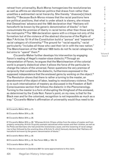retreat from universality, Buck-Morss homogenizes the revolutionaries as well as affirms an identitarian politics that draws from rather than unsettles a sedimented racial hierarchy. She thereby "disavow[s] black identity."64 Because Buck-Morss misses that the racial positions here are political positions, that what is under attack is slavery, she misses that Dessalines' advance and the 1805 declaration that "Haitians will henceforth be known by the generic denomination of blacks" in fact consummate the promise of liberty in racial terms other than those set by the metropolis.65 The 1804 declaration opens with a critique not only of the formalism but of the violence of the abstract discourse of the Rights of Man.66 Articles 12-14 of the Constitution build a "porous" and "expansive" racial category of citizenship.<sup>67</sup> The ground for "racial equality," racial particularity "includes all those who cast their lot in with the new nation." The Manicheanism of the 1804 and 1805 texts do not fix racial categories, but aims to "upend" them.<sup>68</sup>

Ciccarello-Maher further develops his intervention by engaging Fanon's reading of Hegel's master-slave dialectic.<sup>69</sup> Through an interpretation of Fanon, he argues that the Manicheanism of the colonial world is properly dialectical when it allows the force of the particular to change the nature of the universal. Fanon questions the very premise of reciprocity that conditions the dialectic, furthermore expressed in the supposed independence that the enslaved gains by working on the object.<sup>70</sup> The Revolution shows that there is rather a turning to the master, an abandonment of the object of labor, leading to revolutionary violence. There is no such internalization of mastery as discussed in the Freedom of Self-Consciousness section that follows the dialectic in the *Phenomenology*. Turning to the master is a form of disrupting the thinghood of the enslaved, as determined by the Code Noir. Fanon's point, on my view, is that for the Black man and for the colonized, recognition is not impossible as much as a trap.71 Ciccarello-Maher's affirmation of universality would thus need to be

- 64 Ciccarello-Maher 2014, p. 31.
- 65 Ciccarello-Maher 2014, p. 29.
- 66 Ciccarello-Maher 2014, p. 28.

67 Ciccarello-Maher 2014, p. 29: "Whereas Article 12 bans whites from the status of master and from property ownership, Article 13 quickly exempts naturalized white women and their children, as well as the Poles and Germans who had joined the revolutionary cause, and this loosening of racial categories is then followed by the wrecking-blow of Article 14, which famously declares that 'Haitians will henceforth be known by the generic denomination of blacks'."

- 68 Ciccarello-Maher 2014, p. 30.
- 69 Ciccarello-Maher 2014, p. 32. See Fanon 2008, p. 195n 10.
- 70 Ciccarello-Maher 2014, p. 32.
- 71 See the conclusion to Zambrana 2021 for some approximations to this claim.

R I S I S & C R I T I  $\Omega$ U E / Volume 8

Issue 2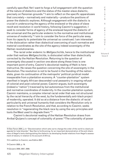carefully specified. Yet I want to forgo a full engagement with the question of the nature of dialectics and the status of the master-slave dialectic, precisely on Fanonian grounds.<sup>72</sup> I aim to reflect on the specific apparatuses that concretely – normatively and materially – produce the positions of power the dialectic explores. Although engagement with the dialectic is crucial in underscoring the agency of the enslaved or the place of slave revolt and revolution in world history, following Casimir's suggestion, I seek to consider forms of agency of the enslaved beyond the dialectic of the universal and the particular endemic to the normative and institutional universe of modernity.<sup>73</sup> Laim to consider the force of the particular away from its capacity to potentiate the universal so construed. I am interested in the dislocation rather than dialectical overcoming of such normative and material coordinates as the site of the agency indeed sovereignty of the Haitian revolutionaries.

The racial order endemic to *Weltgeschichte*, hence to the institutional order that realizes *Weltgeschichte*, is dislocated rather than dialectically corrected by the Haitian Revolution. Returning to the question of sovereignty discussed in section one above along these lines is one important point of entry. Casimir's decolonial reading of Haiti is here instructive. He raises the question concerning the site of sovereignty in the Revolution. The revolution is not to be found in the founding of the nationstate, given its continuation of the metropolis' political-juridical model inseparable from a plantation economy. A "counter-plantation" system manifest in largely African-descended rural peasantry in ongoing refusal of colonial and post-colonial power, Casimir argues, built sovereignty (indeed a "nation") traversed by but autonomous from the institutional and normative coordinates of modernity. In the counter-plantation system, Casimir maintains, a complex internal racial order that was not structured by the racial hierarchy of the west, by the fundamentally anti-black project of modernity, operated. It did so at a distance from the dialectic of racial particularity and universal humanity that considers the Revolution only in relation to the French Revolution, and that, according to Casimir, seeks resolution in "regenerating the black race by using the very principles and tools the West used to degrade them."74

Casimir's decolonial reading of the Haitian Revolution draws from Aníbal Quijano's concept of coloniality of power.<sup>75</sup> The coloniality of power

R I S I S & C R I T I Q U E / Volume 8 Issue 2

<sup>72</sup> See Fanon 2004, p. 2: "Decolonization which sets out to change the order of the world is clearly an agenda for total disorder." See Harris forthcoming, for an important demonstration of the anti-blackness of Hegel's texts distinguishing the dialectic as developing feudal relations from Hegel's assessment of slavery in relation to his account of Africa.

<sup>73</sup> In addition to Casimir, see Eddins 2021.

<sup>74</sup> Casimir 2020, p. 19.

<sup>75</sup> Quijano 2000, 2007, 2008.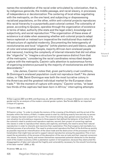names the reinstallation of the racial order articulated by colonization, that is, by indigenous genocide, the middle passage, and racial slavery, in processes of independence or decolonization. The centering of local elites negotiating with the metropolis, on the one hand, and subjecting or dispossessing racialized populations, on the other, within anti-colonial projects reproduces this racial hierarchy in a purportedly post-colonial context. The coloniality of power, according to Quijano, operates through the organization of existence in terms of labor, authority (the state and the legal order), knowledge and subjectivity, and social reproduction.<sup>76</sup> The organization of these areas of existence is at stake when assessing whether anti-colonial projects adapt hence replenish or instead turn inoperative the institutional thus material infrastructure of capitalist modernity. Documenting the heterogeneity of revolutionaries and local "oligarchs" (white planters and *petit blancs*, people of color and emancipated people, majority African-born enslaved people and maroons), tracking the complexity of internal interests that did not allow the "oligarchs" to "imagine a structure for governance distinct from that of the metropole," considering the racial coordinates reinscribed despite rupture with the metropolis, Casimir calls attention to autonomous forms of organizing existence pursued by the majority of revolutionaries and their descendants.77

Like James, Casimir notes that, given particularly cruel conditions, St Domingue's enslaved population could not reproduce itself.<sup>78</sup> As James notes, in 1789, Saint-Domingue was both the most lucrative colony in the Americas and the greatest individual market for the European slave trade.<sup>79</sup> "At the moment of rupture with empire," Casimir writes, "at least two thirds of the captives had been born in Africa," interrupting attempts

77 Casimir 2020, p. 39.

78 Casimir writes: "In order to situate the memory of the crossing of the Atlantic and the arrival of the *bossales* within the history of Haiti, it makes sense to start by clarifying exactly how and why my ancestors' odyssey has been erased from my own. The colonial working class gained consciousness of its own situation by articulating a response to three aspects that defined the behavior of the French: first, the colonist's need to produce and reproduce captives; second, their project of converting captives into slaves in order to reproduce their slavery and captivity; and finally, the need to annul their natural reproduction in order to intensify and maximize their exploitation. This final exigency led inevitably to a botched process of acculturation. The need to produce and reproduce the Pearl of the Antilles as quickly as possible required an intensification of the slave trade and the destruction of the processes of institutionalization that might have served to support natural reproduction among the population. This in turn meant the acceleration of the process of the absorption of the new arrivals and their required conversion into slaves. Community, family, and women themselves represented potential obstacles to the development of the modern economy within a plantation system in full expansion, because they obstructed the disaggregation of labor and reduced the fragility and vulnerability necessary for the smooth functioning of the labor market" (2020, p. 52).

79 James 1989, pp. ix–x.

C R I T I Q U E / Volume 8

C R I S  $\mathbf{I}$ S &

<sup>76</sup> See Lugones 2007 and 2010, and Espinosa, ed., 2014 and 2018 for a critique of Quijano's notion of sex/ gender and for an analysis of the modern colonial gender system. See Terrefe 2020 for an important critique of Lugones.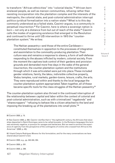to transform "African ethnicities" into "colonial blacks."80 African-born enslaved people, as well as maroon communities, refusing rather than resisting incorporation into the plantation complex and the interests of the metropolis, the colonial state, and post-colonial administration interrupt politico-juridical formalization into a nation-state.<sup>81</sup> What is to this day commonly understood as a failed state, Casimir argues, is a community in perpetual insurrection.<sup>82</sup> For Casimir, here is where a sovereign nation is born – not only at a distance from but out of reach of the state.<sup>83</sup> Casimir calls the modes of organizing existence that emerged in the Revolution and continued to thrive until US intervention in 1915 the "counterplantation system." He writes:

The Haitian peasantry—and those of the entire Caribbean constituted themselves in opposition to the processes of integration and assimilation to the commodity-producing plantation. Their culture was and remains a response to slavery, a form of self-defense responding to the abuses inflicted by modern, colonial society. From the moment the captives took control of their gardens and provision grounds and demanded more free days in the wake of the general insurrection, the counter-plantation system and the institutions through which it was articulated were put into place. These included gender relations, family, the *lakou*, indivisible collective property, Vodou temples, rural markets, garden-towns, leisure, crafts, the arts. They were reproduced within and thanks to the local language the counter-plantation system appropriated. Taken together, all of these became specific tools for the class struggles of the Haitian peasantry.<sup>84</sup>

The counter-plantation system also thrived in the continued interruption of the relationship between capital and labor within the context of colonial and post-colonial administration, such as with criminalized "vagabonds" and "sharecroppers" "refusing to behave like a citizen attached to the land and imposing the breaking up of the plantations into small plots."85

82 I thank Celenis Rodríguez Moreno for this formulation, and for the many conversations we have shared about Casimir's text.

83 Casimir 2020, e.g., pp. 343-344, 354.

84 Casimir 2020, p. 351.

85 Casimir 2020, p. 336.

C R I T I  $\Omega$ U E / Volume 8

Issue 2

C R I S I S &

<sup>80</sup> Casimir 2020, p. 15.

<sup>81</sup> See Casimir 2020, p. 262. Casimir clarifies that in "the eighteenth century, the Africans that slave ships deposited in Saint-Domingue came to be called *bossales*. In the Romance languages this term was extremely negative, a synonym for savages and barbarians. But we need to envision the experience of captivity from the perspective of the contingents of victims who crossed from Africa to the Americas" (2020, p. 40).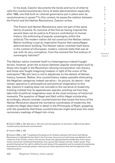In his book, Casimir documents the twists and turns of what he calls the counterrevolutionary force of state administration especially after 1806, one that built on colonial governance put in place even by revolutionaries in power.<sup>86</sup> In this context, he asses the relation between the French and the Haitian Revolutions. Casimir writes:

The French and Haitian Revolutions were not part of the same family of events. To conceive of the first as having inspired the second does not do justice to France's contribution to human history: the enthroning of popular sovereignty within the political. The modern nation did not construct the Haitian nation. Nation building is just an imperialist illusion that camouflages administration building. The Haitian nation invented itself alone in the context of a European, modern, colonial state that was at war with its very conception, from the moment the first embryo of sovereignty hatched.<sup>87</sup>

The Haitian nation invented itself in a heterogenous indeed fraught terrain, however, given the scission between popular sovereignty built by those who fought in the Revolution refusing incorporation into slavery, and those who fought imagining freedom in light of the vision of the metropolis.88 My aim here is not to adjudicate on the details of Haitian history, however. Rather, this counterhistory makes possible dislocating the Hegelian categories indeed narrative – its picture, its desire – that remain operative in philosophical and political imagination to this day. Casimir's reading does not concede to the narrative of modernity, tracking instead how its apparatuses operate, pointing out how they take hold of political imagination even at the most luminous of historical moments. The question of Hegel and Haiti within Hegel scholarship, accordingly, should consider counterhistories that locate the force of the Haitian Revolution beyond the normative coordinates of modernity, the modernity Hegel described in detail in the *Philosophy of Right*, grappling with the possibility that these counterhistories might send even the most revisionary readings of Hegel into crisis.

S & C R I T I  $\Omega$ U E / Volume 8 Issue 2

C R I S I

<sup>86</sup> Casimir 2020, p. 343. See also p. 123, and note the exposition of revolution in Marxist key albeit transformed by decolonial commitments.

<sup>87</sup> Casimir 2020, p. 342.

<sup>88</sup> Casimir 2020, p. 343: "I emphasize the absence of a filiation between the French and Haitian Revolutions to highlight the fact that in the first case, the pursuit of well-being was defined by the collective of all citizens, while in the second, those who appropriated the leadership of the revolutionary movement constituted themselves into a group that relayed colonial, modern power. They granted themselves the right to define the well-being of the population and to evaluate the desiderata expressed by the sovereign people, selecting only those aspirations that met the approval of the imperial powers."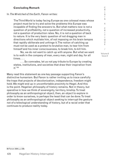#### **Concluding Remark**

### In *The Wretched of the Earth*, Fanon writes:

The Third World is today facing Europe as one colossal mass whose project must be to try and solve the problems this Europe was incapable of finding the answers to. But what matters now is not a question of profitability, not a question of increased productivity, not a question of production rates. No, it is not a question of back to nature. It is the very basic question of not dragging man in directions which mutilate him, of not imposing on his brain tempos that rapidly obliterate and unhinge it. The notion of catching up must not be used as a pretext to brutalize man, to tear him from himself and his inner consciousness, to break him, to kill him.

No, we do not want to catch up with anyone. But what we want is to walk in the company of man, every man, night and day, for all times. . . .

. . . So comrades, let us not pay tribute to Europe by creating states, institutions, and societies that draw their inspiration from it." 89

Many read this statement as one key passage supporting Fanon's distinctive humanism. But Fanon is rather inviting us to trace carefully the traps that projects of decolonization, independence, freedom might hold. We might end up in uncomfortable proximity to Hegel. And this is the point. Hegelian philosophy of history remains. Not in theory, but operative in how we think of sovereignty, territory, kinship. To treat philosophy as an anthropological object, then, an object to explore in order to know ourselves, is perhaps the least that can be done. To treat philosophy as an anthropological object seeking to interrupt the gesture not of a teleological understanding of history, but of a racial order that continues to produce reality today.

R I S I S & C R I T I  $\Omega$  $\cup$ E / Volume 8 Issue 2

C

89 Fanon 2004, p. 239.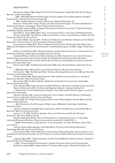| <b>BIBLIOGRAPHY</b>                                                                                                                                                                           | С                |
|-----------------------------------------------------------------------------------------------------------------------------------------------------------------------------------------------|------------------|
| Bernasconi, Robert 1998, 'Hegel at the Court of the Ashanti,' Hegel after Derrida, ed. Stuart                                                                                                 | R<br>L           |
| Barnett, London: Routledge                                                                                                                                                                    | $\mathbb S$      |
| ---2000, 'With What Must the Philosophy of History Begin? On the Racial Basis of Hegel's                                                                                                      | S                |
| Eurocentrism,' Nineteenth Century Contexts 22<br>--- 2003, 'Hegel's Racism. A reply to McCarney,' Radical Philosophy 119                                                                      |                  |
| Brennan, Timothy 2013, 'Hegel, Empire, and Anti-Colonial Thought,' The Oxford Handbook of                                                                                                     | &                |
| Postcolonial Studies, ed. Huggan, Oxford: Oxford University Press                                                                                                                             |                  |
| Buchwalter, Andrew 2009, 'Is Hegel's Philosophy of History Eurocentric?' Hegel and History,<br>ed. William Dudley, Albany NY: SUNY                                                            | $\mathsf C$<br>R |
| Buck-Morss, Susan 2009, Hegel, Haiti, and Universal History, University of Pittsburgh Press                                                                                                   | $\mathbf{L}$     |
| Casimir, Jean 2020, The Haitians: A Decolonial History, trans. Laurent Dubois, Chapel Hill: The                                                                                               | Τ                |
| University of North Carolina Press<br>Ciccarello-Maher, George 2014, "So Much the Worse for the Whites': Dialectics of the Haitian                                                            | L<br>Q           |
| Revolution,' Journal of French and Francophone Philosophy XXII: 1                                                                                                                             | U                |
| de Laurentiis, Allegra 2014, 'Race in Hegel: Text and Context,' Philosophie Nach Kant: Neue                                                                                                   | Ε                |
| Wege Zum Verständnis von Kants Transzendental- Und Moralphilosophie, ed. Mario Egger, De Gruyter,<br>2014                                                                                     |                  |
| Eddins, Crystal Nicole 2021, Rituals, Runaways, and the Haitian Revolution: Collective Action in                                                                                              |                  |
| the African Diaspora, Cambridge: Cambridge University Press                                                                                                                                   | Volume 8         |
| Espinosa Miñoso, Yuderkys and Karina Ochoa, eds. 2014, Tejiendo de otro modo: Feminismo,                                                                                                      | Issue 2          |
| epistemología y apuestas descoloniales en Abya Yala, Bogotá: Editorial Universidad del Cauca<br>---2018, Feminismo descolonial: Nuevos aportes teóricos-metodológicos a más de una década,    |                  |
| Quito: Ediciones Abya-Yala                                                                                                                                                                    |                  |
| Fanon, Frantz 2004, The Wretched of the Earth 2004, trans. Richard Philcox, New York, Grove                                                                                                   |                  |
| Press<br>---2008, Black Skin, White Masks, trans. Richard Philcox, New York: Grove Press                                                                                                      |                  |
| Fick, Carolyn 1990, The Making of Haiti: The Saint-Domingue Revolution from Below, Knoxville:                                                                                                 |                  |
| University of Tennessee Press                                                                                                                                                                 |                  |
| Fischer, Sibylle 2004, Modernity Disavowed: Haiti and the Cultures of Slavery in the Age of<br>Revolution, Durham: Duke University Press                                                      |                  |
| Gilroy, Paul 1995, The Black Atlantic: Modernity and Double-Consciousness, Cambridge:                                                                                                         |                  |
| <b>Harvard University Press</b>                                                                                                                                                               |                  |
| Guha, Ranajit 2002, <i>History at the Limit of World-History</i> , New York: Columbia University Press<br>Harris, Kimberly Ann 2021, 'Du Bois and Hegelian Idealism,' Idealistic Studies 51:2 |                  |
| ---forthcoming 'The Anti-Blackness of Hegel,' trans. Hans Jacob Ohldieck, Agora: Journal of                                                                                                   |                  |
| Speculative Philosophy                                                                                                                                                                        |                  |
| Hartman, Saidiya 1997, Scenes of Subjection: Terror, Slavery, and Self-Making in Nineteenth-<br>Century America, New York: Oxford University Press                                            |                  |
| Hegel, GWF 1971, Hegel's Philosophy of Mind, trans. Willian Wallace and AV Miller, Oxford:                                                                                                    |                  |
| <b>Oxford University Press</b>                                                                                                                                                                |                  |
| ---1991, Elements of the Philosophy of Right, trans. HB Nesbit, Cambridge: Cambridge<br><b>University Press</b>                                                                               |                  |
| Jackson, Zakiyyah Iman 2020, Becoming Human: Matter and Meaning in an Antiblack World,                                                                                                        |                  |
| New York: New York University Press                                                                                                                                                           |                  |
| James, C.L.R. 1989, The Black Jacobins: Toussaint L'Ouverture and the San Domingo                                                                                                             |                  |
| Revolution, New York: Random House<br>Kisukidi, Nadia Yala 2019a, 'How to Philosophize in a Dominated Country,' Critique/De-                                                                  |                  |
| coloniality/Diaspora, Berkeley: https://www.youtube.com/watch?v=igCy9Yv6_hc.                                                                                                                  |                  |
| ---2019b, 'Philosopher en pays dominé,' Tous philosophes, ed. Jean Birnbaum, Paris: Folio,                                                                                                    |                  |
| coll. 'Essais,'<br>Laurent, Dubois 2004, Avengers of the New World: The Story of the Haitian Revolution,                                                                                      |                  |
| Cambridge, MA: Harvard University Press                                                                                                                                                       |                  |
| Lloyd, Vincent 2021, 'Hegel, Blackness, Sovereignty,' Nothing Absolute: German Idealism and                                                                                                   |                  |
| the Question of Political Theology, ed. Kirill Chepurin and Alex Dubilet, New York: Fordham University<br>Press                                                                               |                  |
| Lugones, María 2007, 'Heterosexualism and the Colonial/Modern Gender System,' Hypatia: A                                                                                                      |                  |
| Journal of Feminist Philosophy 22:1                                                                                                                                                           |                  |
| ---2010, 'Toward a Decolonial Feminism,' Hypatia: A Journal of Feminist Philosophy 25:4                                                                                                       |                  |
| McCarney, Joseph 2003, 'Hegel's Racism? A reply to Bernasconi,' Radical Philosophy 119                                                                                                        |                  |
|                                                                                                                                                                                               |                  |
|                                                                                                                                                                                               |                  |